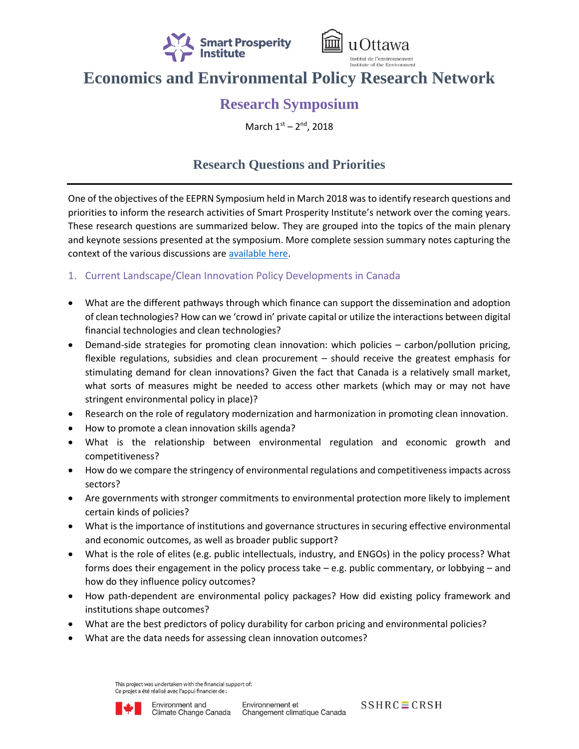



# **Economics and Environmental Policy Research Network**

## **Research Symposium**

March 1st - 2<sup>nd</sup>, 2018

### **Research Questions and Priorities**

One of the objectives of the EEPRN Symposium held in March 2018 was to identify research questions and priorities to inform the research activities of Smart Prosperity Institute's network over the coming years. These research questions are summarized below. They are grouped into the topics of the main plenary and keynote sessions presented at the symposium. More complete session summary notes capturing the context of the various discussions are [available here.](https://institute.smartprosperity.ca/library/publications/session-summary-notes-and-research-questions-march-2018-research-symposium)

### 1. Current Landscape/Clean Innovation Policy Developments in Canada

- What are the different pathways through which finance can support the dissemination and adoption of clean technologies? How can we 'crowd in' private capital or utilize the interactions between digital financial technologies and clean technologies?
- Demand-side strategies for promoting clean innovation: which policies carbon/pollution pricing, flexible regulations, subsidies and clean procurement – should receive the greatest emphasis for stimulating demand for clean innovations? Given the fact that Canada is a relatively small market, what sorts of measures might be needed to access other markets (which may or may not have stringent environmental policy in place)?
- Research on the role of regulatory modernization and harmonization in promoting clean innovation.
- How to promote a clean innovation skills agenda?
- What is the relationship between environmental regulation and economic growth and competitiveness?
- How do we compare the stringency of environmental regulations and competitiveness impacts across sectors?
- Are governments with stronger commitments to environmental protection more likely to implement certain kinds of policies?
- What is the importance of institutions and governance structures in securing effective environmental and economic outcomes, as well as broader public support?
- What is the role of elites (e.g. public intellectuals, industry, and ENGOs) in the policy process? What forms does their engagement in the policy process take – e.g. public commentary, or lobbying – and how do they influence policy outcomes?
- How path-dependent are environmental policy packages? How did existing policy framework and institutions shape outcomes?
- What are the best predictors of policy durability for carbon pricing and environmental policies?
- What are the data needs for assessing clean innovation outcomes?

This project was undertaken with the financial support of: Ce projet a été réalisé avec l'appui financier de :



 $SSHRC \equiv CRSH$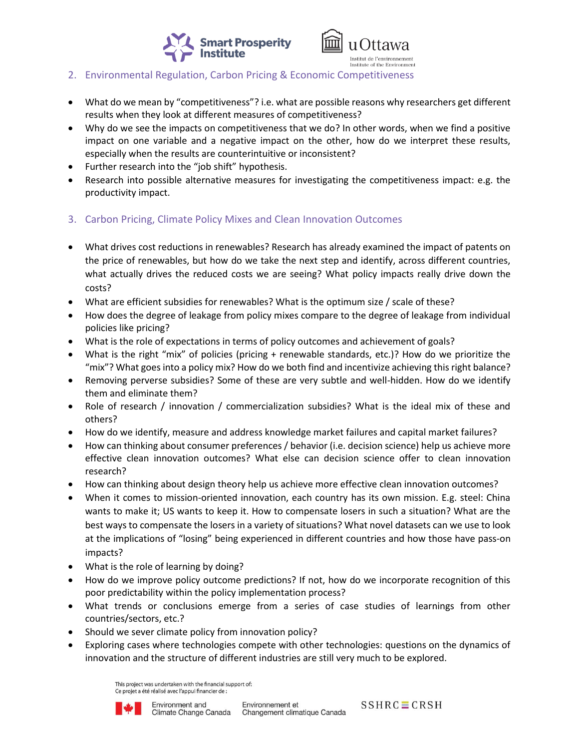



#### 2. Environmental Regulation, Carbon Pricing & Economic Competitiveness

- What do we mean by "competitiveness"? i.e. what are possible reasons why researchers get different results when they look at different measures of competitiveness?
- Why do we see the impacts on competitiveness that we do? In other words, when we find a positive impact on one variable and a negative impact on the other, how do we interpret these results, especially when the results are counterintuitive or inconsistent?
- Further research into the "job shift" hypothesis.
- Research into possible alternative measures for investigating the competitiveness impact: e.g. the productivity impact.
- 3. Carbon Pricing, Climate Policy Mixes and Clean Innovation Outcomes
- What drives cost reductions in renewables? Research has already examined the impact of patents on the price of renewables, but how do we take the next step and identify, across different countries, what actually drives the reduced costs we are seeing? What policy impacts really drive down the costs?
- What are efficient subsidies for renewables? What is the optimum size / scale of these?
- How does the degree of leakage from policy mixes compare to the degree of leakage from individual policies like pricing?
- What is the role of expectations in terms of policy outcomes and achievement of goals?
- What is the right "mix" of policies (pricing + renewable standards, etc.)? How do we prioritize the "mix"? What goes into a policy mix? How do we both find and incentivize achieving this right balance?
- Removing perverse subsidies? Some of these are very subtle and well-hidden. How do we identify them and eliminate them?
- Role of research / innovation / commercialization subsidies? What is the ideal mix of these and others?
- How do we identify, measure and address knowledge market failures and capital market failures?
- How can thinking about consumer preferences / behavior (i.e. decision science) help us achieve more effective clean innovation outcomes? What else can decision science offer to clean innovation research?
- How can thinking about design theory help us achieve more effective clean innovation outcomes?
- When it comes to mission-oriented innovation, each country has its own mission. E.g. steel: China wants to make it; US wants to keep it. How to compensate losers in such a situation? What are the best ways to compensate the losers in a variety of situations? What novel datasets can we use to look at the implications of "losing" being experienced in different countries and how those have pass-on impacts?
- What is the role of learning by doing?
- How do we improve policy outcome predictions? If not, how do we incorporate recognition of this poor predictability within the policy implementation process?
- What trends or conclusions emerge from a series of case studies of learnings from other countries/sectors, etc.?
- Should we sever climate policy from innovation policy?
- Exploring cases where technologies compete with other technologies: questions on the dynamics of innovation and the structure of different industries are still very much to be explored.

This project was undertaken with the financial support of: Ce projet a été réalisé avec l'appui financier de :

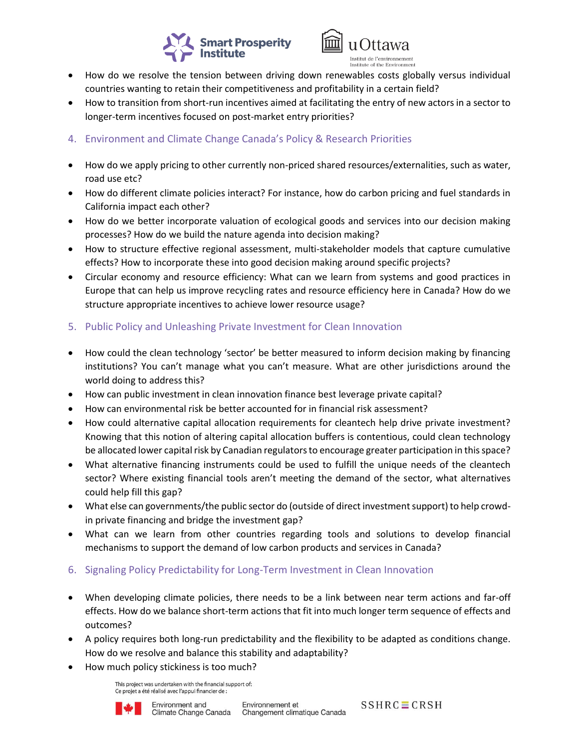



- How do we resolve the tension between driving down renewables costs globally versus individual countries wanting to retain their competitiveness and profitability in a certain field?
- How to transition from short-run incentives aimed at facilitating the entry of new actors in a sector to longer-term incentives focused on post-market entry priorities?
- 4. Environment and Climate Change Canada's Policy & Research Priorities
- How do we apply pricing to other currently non-priced shared resources/externalities, such as water, road use etc?
- How do different climate policies interact? For instance, how do carbon pricing and fuel standards in California impact each other?
- How do we better incorporate valuation of ecological goods and services into our decision making processes? How do we build the nature agenda into decision making?
- How to structure effective regional assessment, multi-stakeholder models that capture cumulative effects? How to incorporate these into good decision making around specific projects?
- Circular economy and resource efficiency: What can we learn from systems and good practices in Europe that can help us improve recycling rates and resource efficiency here in Canada? How do we structure appropriate incentives to achieve lower resource usage?
- 5. Public Policy and Unleashing Private Investment for Clean Innovation
- How could the clean technology 'sector' be better measured to inform decision making by financing institutions? You can't manage what you can't measure. What are other jurisdictions around the world doing to address this?
- How can public investment in clean innovation finance best leverage private capital?
- How can environmental risk be better accounted for in financial risk assessment?
- How could alternative capital allocation requirements for cleantech help drive private investment? Knowing that this notion of altering capital allocation buffers is contentious, could clean technology be allocated lower capital risk by Canadian regulators to encourage greater participation in this space?
- What alternative financing instruments could be used to fulfill the unique needs of the cleantech sector? Where existing financial tools aren't meeting the demand of the sector, what alternatives could help fill this gap?
- What else can governments/the public sector do (outside of direct investment support) to help crowdin private financing and bridge the investment gap?
- What can we learn from other countries regarding tools and solutions to develop financial mechanisms to support the demand of low carbon products and services in Canada?
- 6. Signaling Policy Predictability for Long-Term Investment in Clean Innovation
- When developing climate policies, there needs to be a link between near term actions and far-off effects. How do we balance short-term actions that fit into much longer term sequence of effects and outcomes?
- A policy requires both long-run predictability and the flexibility to be adapted as conditions change. How do we resolve and balance this stability and adaptability?
- How much policy stickiness is too much?

This project was undertaken with the financial support of: Ce projet a été réalisé avec l'appui financier de :



 $SSHRC \equiv CRSH$